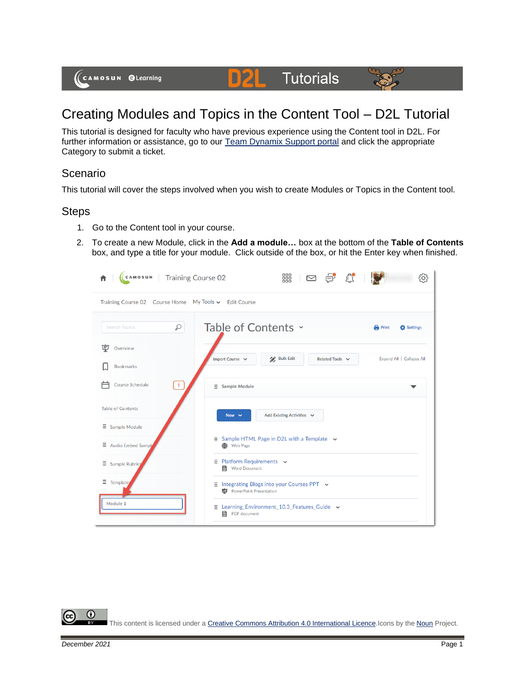(CAMOSUN @Learning

## Creating Modules and Topics in the Content Tool – D2L Tutorial

**D2L** Tutorials

This tutorial is designed for faculty who have previous experience using the Content tool in D2L. For further information or assistance, go to our [Team Dynamix Support portal](https://camosun.teamdynamix.com/TDClient/67/Portal/Requests/ServiceCatalog?CategoryID=523) and click the appropriate Category to submit a ticket.

## Scenario

This tutorial will cover the steps involved when you wish to create Modules or Topics in the Content tool.

## **Steps**

- 1. Go to the Content tool in your course.
- 2. To create a new Module, click in the **Add a module…** box at the bottom of the **Table of Contents** box, and type a title for your module. Click outside of the box, or hit the Enter key when finished.



0 This content is licensed under [a Creative Commons Attribution 4.0 International Licence.I](https://creativecommons.org/licenses/by/4.0/)cons by the [Noun](https://creativecommons.org/website-icons/) Project.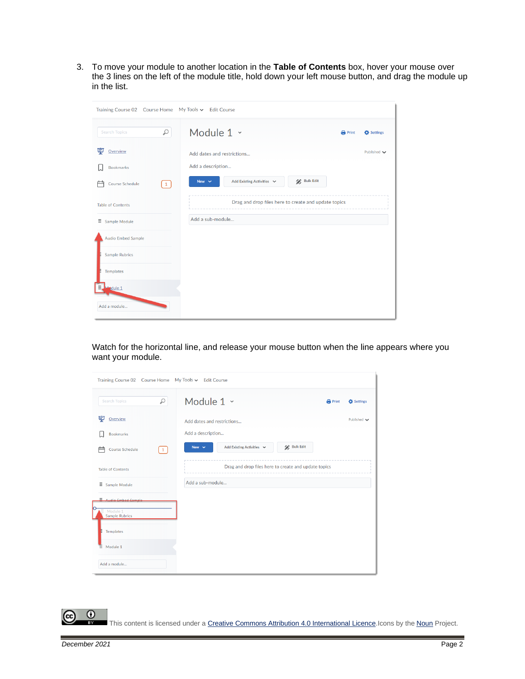3. To move your module to another location in the **Table of Contents** box, hover your mouse over the 3 lines on the left of the module title, hold down your left mouse button, and drag the module up in the list.

| Training Course 02 Course Home My Tools v Edit Course |                                                             |              |                    |  |  |
|-------------------------------------------------------|-------------------------------------------------------------|--------------|--------------------|--|--|
| Q<br><b>Search Topics</b>                             | Module 1 v                                                  | <b>Print</b> | Settings           |  |  |
| 叓<br>Overview                                         | Add dates and restrictions                                  |              | Published $\smile$ |  |  |
| <b>Bookmarks</b>                                      | Add a description                                           |              |                    |  |  |
| Course Schedule<br>广<br>$\vert 1 \vert$               | <b>Bulk Edit</b><br>Add Existing Activities v<br>New $\vee$ |              |                    |  |  |
| <b>Table of Contents</b>                              | Drag and drop files here to create and update topics        |              |                    |  |  |
| Ξ<br>Sample Module                                    | Add a sub-module                                            |              |                    |  |  |
| <b>Audio Embed Sample</b>                             |                                                             |              |                    |  |  |
| <b>Sample Rubrics</b>                                 |                                                             |              |                    |  |  |
| <b>Templates</b>                                      |                                                             |              |                    |  |  |
| dule 1                                                |                                                             |              |                    |  |  |
| Add a module                                          |                                                             |              |                    |  |  |

Watch for the horizontal line, and release your mouse button when the line appears where you want your module.

| Q<br><b>Search Topics</b>           | Module 1 v<br><b>Print</b>                                  | <b>D</b> Settings  |
|-------------------------------------|-------------------------------------------------------------|--------------------|
| 叓<br>Overview                       | Add dates and restrictions                                  | Published $\smile$ |
| <b>Bookmarks</b>                    | Add a description                                           |                    |
| <b>Course Schedule</b><br>$1 \vert$ | <b>Bulk Edit</b><br>Add Existing Activities v<br>New $\sim$ |                    |
| <b>Table of Contents</b>            | Drag and drop files here to create and update topics        |                    |
| Ξ<br>Sample Module                  | Add a sub-module                                            |                    |
| Andia Embad Ca                      |                                                             |                    |
| Module 1<br><b>Sample Rubrics</b>   |                                                             |                    |
| <b>Templates</b><br>Е               |                                                             |                    |
| Module 1<br>Ξ                       |                                                             |                    |
| Add a module                        |                                                             |                    |

 $\odot$ This content is licensed under [a Creative Commons Attribution 4.0 International Licence.I](https://creativecommons.org/licenses/by/4.0/)cons by the [Noun](https://creativecommons.org/website-icons/) Project.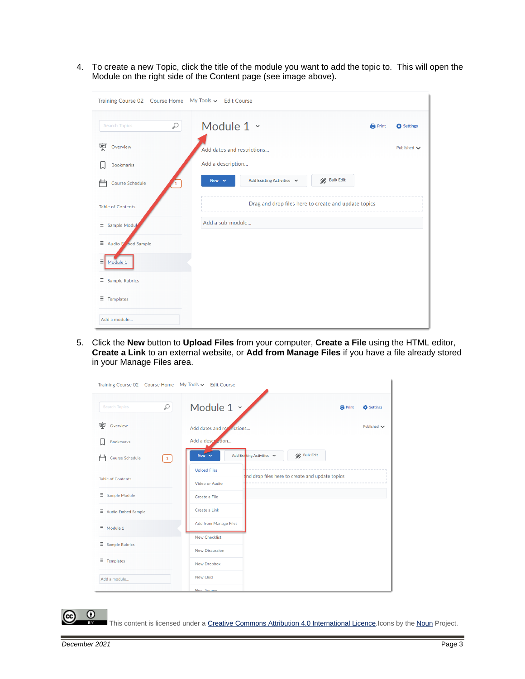4. To create a new Topic, click the title of the module you want to add the topic to. This will open the Module on the right side of the Content page (see image above).

| Training Course 02 Course Home My Tools v Edit Course |                                                             |                    |
|-------------------------------------------------------|-------------------------------------------------------------|--------------------|
| $\varphi$<br><b>Search Topics</b>                     | Module 1 v<br><b>Print</b>                                  | Settings           |
| 稟<br>Overview                                         | Add dates and restrictions                                  | Published $\smile$ |
| <b>Bookmarks</b>                                      | Add a description                                           |                    |
| <b>Course Schedule</b>                                | <b>Bulk Edit</b><br>Add Existing Activities v<br>New $\sim$ |                    |
| <b>Table of Contents</b>                              | Drag and drop files here to create and update topics        |                    |
| $\equiv$ Sample Moduk                                 | Add a sub-module                                            |                    |
| $\equiv$ Audio $F$ obed Sample                        |                                                             |                    |
| 릐<br>Module 1                                         |                                                             |                    |
| Ξ<br><b>Sample Rubrics</b>                            |                                                             |                    |
| $\equiv$ Templates                                    |                                                             |                    |
| Add a module                                          |                                                             |                    |

5. Click the **New** button to **Upload Files** from your computer, **Create a File** using the HTML editor, **Create a Link** to an external website, or **Add from Manage Files** if you have a file already stored in your Manage Files area.

|                             | Training Course 02 Course Home My Tools v Edit Course                                       |                    |
|-----------------------------|---------------------------------------------------------------------------------------------|--------------------|
| <b>Search Topics</b>        | Module 1 v<br>Q<br><b>Print</b>                                                             | <b>D</b> Settings  |
| 孠<br>Overview               | Add dates and reverictions                                                                  | Published $\smile$ |
| <b>Bookmarks</b>            | Add a description                                                                           |                    |
| Course Schedule             | / Bulk Edit<br>Add Existing Activities v<br>New $\vee$<br>$\begin{pmatrix} 1 \end{pmatrix}$ |                    |
| <b>Table of Contents</b>    | <b>Upload Files</b><br>and drop files here to create and update topics                      |                    |
| $\equiv$ Sample Module      | Video or Audio                                                                              |                    |
|                             | Create a File                                                                               |                    |
| $\equiv$ Audio Embed Sample | Create a Link                                                                               |                    |
| $\equiv$ Module 1           | Add from Manage Files                                                                       |                    |
| $\equiv$ Sample Rubrics     | <b>New Checklist</b>                                                                        |                    |
|                             | <b>New Discussion</b>                                                                       |                    |
| $\equiv$ Templates          | <b>New Dropbox</b>                                                                          |                    |
| Add a module                | <b>New Quiz</b>                                                                             |                    |
|                             | Now Curvey                                                                                  |                    |

 $\odot$ 

This content is licensed under [a Creative Commons Attribution 4.0 International Licence.I](https://creativecommons.org/licenses/by/4.0/)cons by the [Noun](https://creativecommons.org/website-icons/) Project.